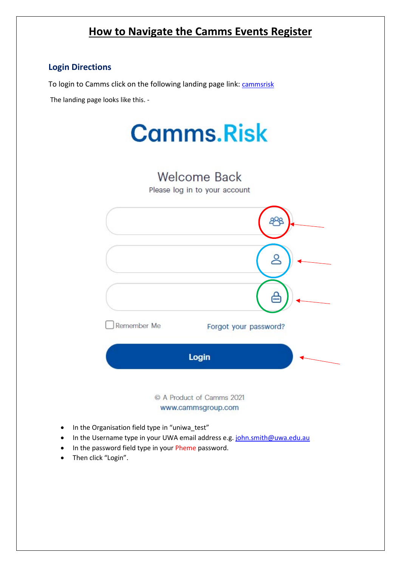## **How to Navigate the Camms Events Register**

## **Login Directions**

To login to Camms click on the following landing page link: [cammsrisk](https://test.cammsrisk.com.au/CammsRisk/login.aspx?ReturnUrl=%2fCammsRisk%2fAuthorised%2fDefault.aspx%3fGotoLandingPage%3d1&GotoLandingPage=1)

The landing page looks like this. -





## www.cammsgroup.com

- In the Organisation field type in "uniwa\_test"
- In the Username type in your UWA email address e.g[. john.smith@uwa.edu.au](mailto:john.smith@uwa.edu.au)
- In the password field type in your Pheme password.
- Then click "Login".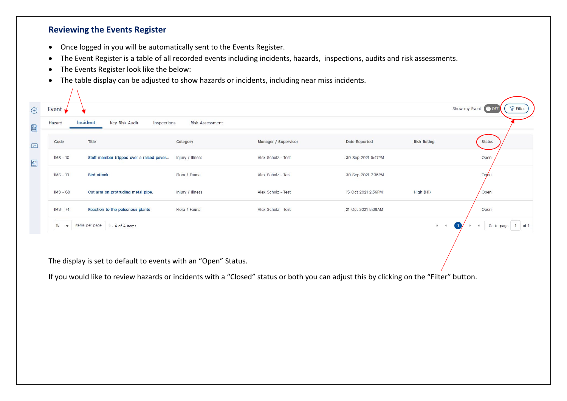## **Reviewing the Events Register**

 $\sqrt{1}$ 

- Once logged in you will be automatically sent to the Events Register.
- The Event Register is a table of all recorded events including incidents, hazards, inspections, audits and risk assessments.
- The Events Register look like the below:
- The table display can be adjusted to show hazards or incidents, including near miss incidents.

| Event $\blacktriangleright$ |                                           |                        |                      |                    |                     | $P$ Filter<br>Show my Event OFF               |
|-----------------------------|-------------------------------------------|------------------------|----------------------|--------------------|---------------------|-----------------------------------------------|
| Hazard                      | Incident<br>Key Risk Audit<br>Inspections | <b>Risk Assessment</b> |                      |                    |                     |                                               |
| Code                        | Title                                     | Category               | Manager / Supervisor | Date Reported      | <b>Risk Rating</b>  | <b>Status</b>                                 |
| IMS - 10                    | Staff member tripped over a raised paver  | Injury / Illness       | Alex Scholz - Test   | 30 Sep 2021 5:47PM |                     | Open                                          |
| <b>IMS</b> - 13             | <b>Bird attack</b>                        | Flora / Fauna          | Alex Scholz - Test   | 30 Sep 2021 7:36PM |                     | Open                                          |
| <b>IMS - 68</b>             | Cut arm on protruding metal pipe.         | Injury / Illness       | Alex Scholz - Test   | 15 Oct 2021 2:56PM | High (H1)           | Open                                          |
| $IMS - 74$                  | Reaction to the poisonous plants          | Flora / Fauna          | Alex Scholz - Test   | 21 Oct 2021 8:38AM |                     | Open                                          |
| 15<br>$\mathbf{v}$          | items per page<br>1 - 4 of 4 items        |                        |                      |                    | 4 <br>$\rightarrow$ | Go to page<br>$\left( 1 \right)$<br><b>bi</b> |

The display is set to default to events with an "Open" Status.

If you would like to review hazards or incidents with a "Closed" status or both you can adjust this by clicking on the "Filter" button.